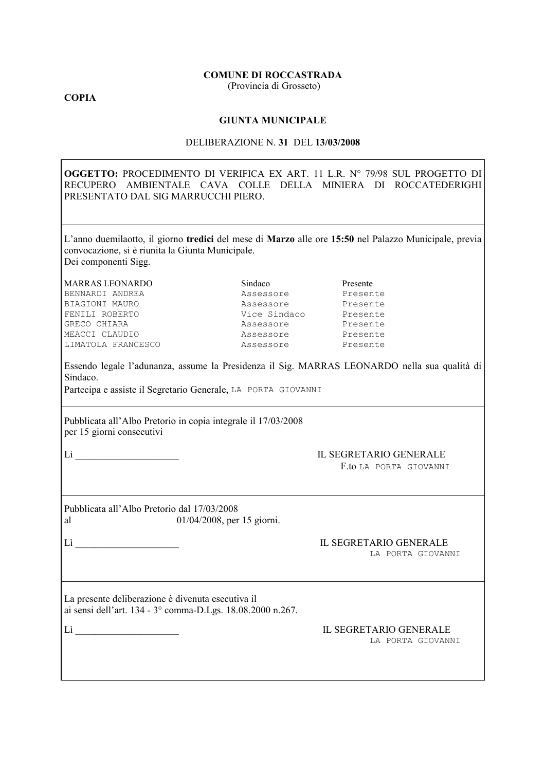# **COMUNE DI ROCCASTRADA**

(Provincia di Grosseto)

**COPIA** 

### **GIUNTA MUNICIPALE**

#### DELIBERAZIONE N. 31 DEL 13/03/2008

OGGETTO: PROCEDIMENTO DI VERIFICA EX ART. 11 L.R. Nº 79/98 SUL PROGETTO DI RECUPERO AMBIENTALE CAVA COLLE DELLA MINIERA DI ROCCATEDERIGHI PRESENTATO DAL SIG MARRUCCHI PIERO. L'anno duemilaotto, il giorno tredici del mese di Marzo alle ore 15:50 nel Palazzo Municipale, previa convocazione, si è riunita la Giunta Municipale. Dei componenti Sigg. Presente Sindaco **MARRAS LEONARDO** Assessore<br>Assessore Presente BENNARDI ANDREA Assessore<br>Vice Sindaco Presente<br>Assessore BIAGIONI MAURO FENILI ROBERTO GRECO CHIARA Assessore Presente MEACCI CLAUDIO Assessore<br>Assessore Presente<br>Presente LIMATOLA FRANCESCO Essendo legale l'adunanza, assume la Presidenza il Sig. MARRAS LEONARDO nella sua qualità di Sindaco. Partecipa e assiste il Segretario Generale, LA PORTA GIOVANNI Pubblicata all'Albo Pretorio in copia integrale il 17/03/2008 per 15 giorni consecutivi IL SEGRETARIO GENERALE F.to LA PORTA GIOVANNI Pubblicata all'Albo Pretorio dal 17/03/2008 01/04/2008, per 15 giorni. al Lì ann an t-IL SEGRETARIO GENERALE LA PORTA GIOVANNI La presente deliberazione è divenuta esecutiva il ai sensi dell'art. 134 - 3° comma-D.Lgs. 18.08.2000 n.267. IL SEGRETARIO GENERALE LA PORTA GIOVANNI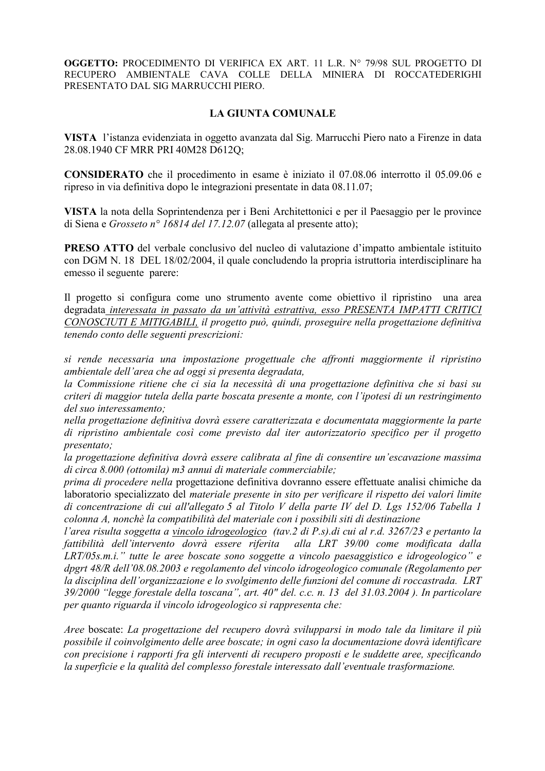## **LA GIUNTA COMUNALE**

VISTA l'istanza evidenziata in oggetto avanzata dal Sig. Marrucchi Piero nato a Firenze in data 28.08.1940 CF MRR PRI 40M28 D612Q;

CONSIDERATO che il procedimento in esame è iniziato il 07.08.06 interrotto il 05.09.06 e ripreso in via definitiva dopo le integrazioni presentate in data 08.11.07;

VISTA la nota della Soprintendenza per i Beni Architettonici e per il Paesaggio per le province di Siena e Grosseto nº 16814 del 17.12.07 (allegata al presente atto);

**PRESO ATTO** del verbale conclusivo del nucleo di valutazione d'impatto ambientale istituito con DGM N. 18 DEL 18/02/2004, il quale concludendo la propria istruttoria interdisciplinare ha emesso il seguente parere:

Il progetto si configura come uno strumento avente come obiettivo il ripristino una area degradata interessata in passato da un'attività estrattiva, esso PRESENTA IMPATTI CRITICI CONOSCIUTI E MITIGABILI, il progetto può, quindi, proseguire nella progettazione definitiva tenendo conto delle seguenti prescrizioni:

si rende necessaria una impostazione progettuale che affronti maggiormente il ripristino ambientale dell'area che ad oggi si presenta degradata,

la Commissione ritiene che ci sia la necessità di una progettazione definitiva che si basi su criteri di maggior tutela della parte boscata presente a monte, con l'ipotesi di un restringimento del suo interessamento:

nella progettazione definitiva dovrà essere caratterizzata e documentata maggiormente la parte di ripristino ambientale così come previsto dal iter autorizzatorio specifico per il progetto presentato;

la progettazione definitiva dovrà essere calibrata al fine di consentire un'escavazione massima di circa 8.000 (ottomila) m3 annui di materiale commerciabile:

prima di procedere nella progettazione definitiva dovranno essere effettuate analisi chimiche da laboratorio specializzato del materiale presente in sito per verificare il rispetto dei valori limite di concentrazione di cui all'allegato 5 al Titolo V della parte IV del D. Lgs 152/06 Tabella 1 colonna A, nonchè la compatibilità del materiale con i possibili siti di destinazione

l'area risulta soggetta a vincolo idrogeologico (tav.2 di P.s). di cui al r.d. 3267/23 e pertanto la fattibilità dell'intervento dovrà essere riferita alla LRT 39/00 come modificata dalla LRT/05s.m.i." tutte le aree boscate sono soggette a vincolo paesaggistico e idrogeologico" e dpgrt 48/R dell'08.08.2003 e regolamento del vincolo idrogeologico comunale (Regolamento per la disciplina dell'organizzazione e lo svolgimento delle funzioni del comune di roccastrada. LRT  $39/2000$  "legge forestale della toscana", art.  $40$ " del. c.c. n. 13 del 31.03.2004). In particolare per quanto riguarda il vincolo idrogeologico si rappresenta che:

Aree boscate: La progettazione del recupero dovrà svilupparsi in modo tale da limitare il più possibile il coinvolgimento delle aree boscate; in ogni caso la documentazione dovrà identificare con precisione i rapporti fra gli interventi di recupero proposti e le suddette aree, specificando la superficie e la qualità del complesso forestale interessato dall'eventuale trasformazione.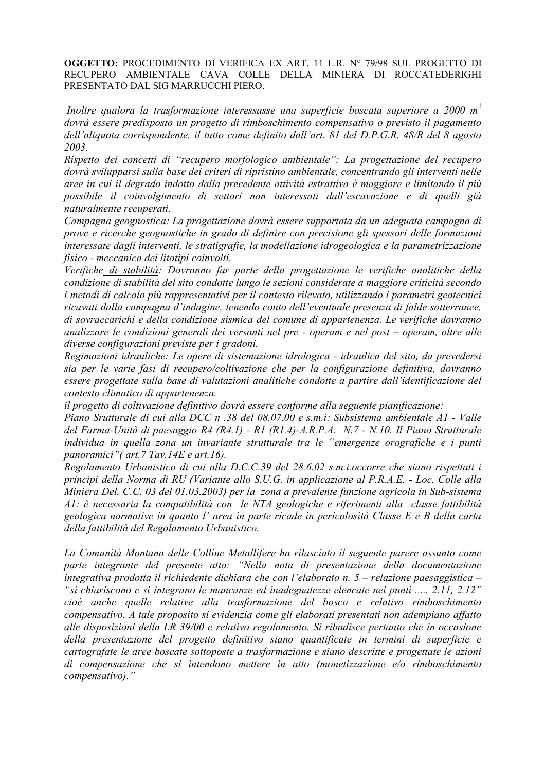Inoltre qualora la trasformazione interessasse una superficie boscata superiore a 2000 m<sup>2</sup> dovrà essere predisposto un progetto di rimboschimento compensativo o previsto il pagamento dell'aliquota corrispondente, il tutto come definito dall'art. 81 del D.P.G.R. 48/R del 8 agosto  $2003$ 

Rispetto dei concetti di "recupero morfologico ambientale": La progettazione del recupero dovrà svilupparsi sulla base dei criteri di ripristino ambientale, concentrando gli interventi nelle aree in cui il degrado indotto dalla precedente attività estrattiva è maggiore e limitando il più possibile il coinvolgimento di settori non interessati dall'escavazione e di quelli già naturalmente recuperati.

Campagna geognostica: La progettazione dovrà essere supportata da un adeguata campagna di prove e ricerche geognostiche in grado di definire con precisione gli spessori delle formazioni interessate dagli interventi, le stratigrafie, la modellazione idrogeologica e la parametrizzazione fisico - meccanica dei litotipi coinvolti.

Verifiche di stabilità: Dovranno far parte della progettazione le verifiche analitiche della condizione di stabilità del sito condotte lungo le sezioni considerate a maggiore criticità secondo i metodi di calcolo più rappresentativi per il contesto rilevato, utilizzando i parametri geotecnici ricavati dalla campagna d'indagine, tenendo conto dell'eventuale presenza di falde sotterranee, di sovraccarichi e della condizione sismica del comune di appartenenza. Le verifiche dovranno analizzare le condizioni generali dei versanti nel pre - operam e nel post – operam, oltre alle diverse configurazioni previste per i gradoni.

Regimazioni idrauliche: Le opere di sistemazione idrologica - idraulica del sito, da prevedersi sia per le varie fasi di recupero/coltivazione che per la configurazione definitiva, dovranno essere progettate sulla base di valutazioni analitiche condotte a partire dall'identificazione del contesto climatico di appartenenza.

il progetto di coltivazione definitivo dovrà essere conforme alla seguente pianificazione:

Piano Srutturale di cui alla DCC n .38 del 08.07.00 e s.m.i: Subsistema ambientale A1 - Valle del Farma-Unità di paesaggio R4 (R4.1) - R1 (R1.4)-A.R.P.A. N.7 - N.10. Il Piano Strutturale individua in quella zona un invariante strutturale tra le "emergenze orografiche e i punti panoramici" (art. 7 Tav. 14E e art. 16).

Regolamento Urbanistico di cui alla D.C.C.39 del 28.6.02 s.m.i.occorre che siano rispettati i principi della Norma di RU (Variante allo S.U.G. in applicazione al P.R.A.E. - Loc. Colle alla Miniera Del. C.C. 03 del 01.03.2003) per la zona a prevalente funzione agricola in Sub-sistema Al: è necessaria la compatibilità con le NTA geologiche e riferimenti alla classe fattibilità geologica normative in quanto l'area in parte ricade in pericolosità Classe E e B della carta della fattibilità del Regolamento Urbanistico.

La Comunità Montana delle Colline Metallifere ha rilasciato il seguente parere assunto come parte integrante del presente atto: "Nella nota di presentazione della documentazione integrativa prodotta il richiedente dichiara che con l'elaborato n.  $5$  – relazione paesaggistica – "si chiariscono e si integrano le mancanze ed inadeguatezze elencate nei punti ..... 2.11, 2.12" cioè anche quelle relative alla trasformazione del bosco e relativo rimboschimento compensativo. A tale proposito si evidenzia come gli elaborati presentati non adempiano affatto alle disposizioni della LR 39/00 e relativo regolamento. Si ribadisce pertanto che in occasione della presentazione del progetto definitivo siano quantificate in termini di superficie e cartografate le aree boscate sottoposte a trasformazione e siano descritte e progettate le azioni di compensazione che si intendono mettere in atto (monetizzazione e/o rimboschimento compensativo)."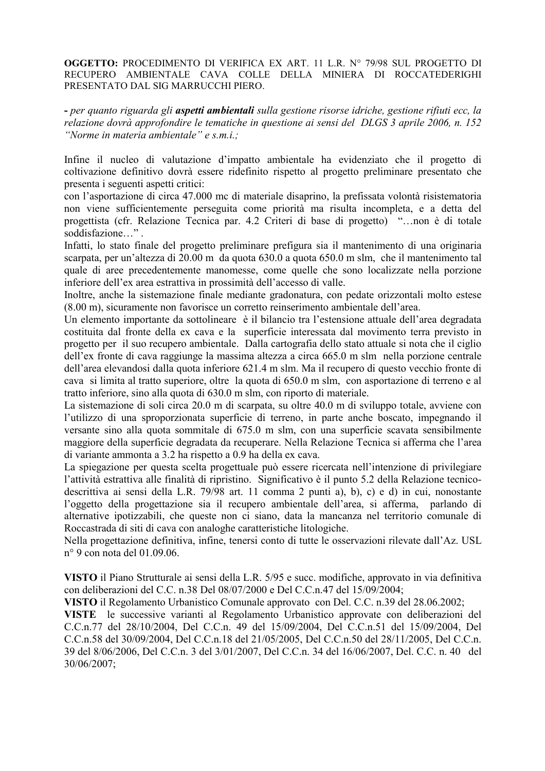- per quanto riguarda gli aspetti ambientali sulla gestione risorse idriche, gestione rifiuti ecc, la relazione dovrà approfondire le tematiche in questione ai sensi del DLGS 3 aprile 2006, n. 152 "Norme in materia ambientale" e s.m.i.:

Infine il nucleo di valutazione d'impatto ambientale ha evidenziato che il progetto di coltivazione definitivo dovrà essere ridefinito rispetto al progetto preliminare presentato che presenta i seguenti aspetti critici:

con l'asportazione di circa 47.000 mc di materiale disaprino, la prefissata volontà risistematoria non viene sufficientemente perseguita come priorità ma risulta incompleta, e a detta del progettista (cfr. Relazione Tecnica par. 4.2 Criteri di base di progetto) "...non è di totale soddisfazione...".

Infatti, lo stato finale del progetto preliminare prefigura sia il mantenimento di una originaria scarpata, per un'altezza di 20.00 m da quota 630.0 a quota 650.0 m slm, che il mantenimento tal quale di aree precedentemente manomesse, come quelle che sono localizzate nella porzione inferiore dell'ex area estrattiva in prossimità dell'accesso di valle.

Inoltre, anche la sistemazione finale mediante gradonatura, con pedate orizzontali molto estese (8.00 m), sicuramente non favorisce un corretto reinserimento ambientale dell'area.

Un elemento importante da sottolineare è il bilancio tra l'estensione attuale dell'area degradata costituita dal fronte della ex cava e la superficie interessata dal movimento terra previsto in progetto per il suo recupero ambientale. Dalla cartografia dello stato attuale si nota che il ciglio dell'ex fronte di cava raggiunge la massima altezza a circa 665.0 m slm nella porzione centrale dell'area elevandosi dalla quota inferiore 621.4 m slm. Ma il recupero di questo vecchio fronte di cava si limita al tratto superiore, oltre la quota di 650.0 m slm, con asportazione di terreno e al tratto inferiore, sino alla quota di 630.0 m slm, con riporto di materiale.

La sistemazione di soli circa 20.0 m di scarpata, su oltre 40.0 m di sviluppo totale, avviene con l'utilizzo di una sproporzionata superficie di terreno, in parte anche boscato, impegnando il versante sino alla quota sommitale di 675.0 m slm, con una superficie scavata sensibilmente maggiore della superficie degradata da recuperare. Nella Relazione Tecnica si afferma che l'area di variante ammonta a 3.2 ha rispetto a 0.9 ha della ex cava.

La spiegazione per questa scelta progettuale può essere ricercata nell'intenzione di privilegiare l'attività estrattiva alle finalità di ripristino. Significativo è il punto 5.2 della Relazione tecnicodescrittiva ai sensi della L.R. 79/98 art. 11 comma 2 punti a), b), c) e d) in cui, nonostante l'oggetto della progettazione sia il recupero ambientale dell'area, si afferma, parlando di alternative ipotizzabili, che queste non ci siano, data la mancanza nel territorio comunale di Roccastrada di siti di cava con analoghe caratteristiche litologiche.

Nella progettazione definitiva, infine, tenersi conto di tutte le osservazioni rilevate dall'Az. USL  $n^{\circ}$  9 con nota del 01.09.06.

VISTO il Piano Strutturale ai sensi della L.R. 5/95 e succ. modifiche, approvato in via definitiva con deliberazioni del C.C. n.38 Del 08/07/2000 e Del C.C. n.47 del 15/09/2004:

VISTO il Regolamento Urbanistico Comunale approvato con Del. C.C. n.39 del 28.06.2002;

VISTE le successive varianti al Regolamento Urbanistico approvate con deliberazioni del C.C.n.77 del 28/10/2004, Del C.C.n. 49 del 15/09/2004, Del C.C.n.51 del 15/09/2004, Del C.C.n.58 del 30/09/2004, Del C.C.n.18 del 21/05/2005, Del C.C.n.50 del 28/11/2005, Del C.C.n. 39 del 8/06/2006, Del C.C.n. 3 del 3/01/2007, Del C.C.n. 34 del 16/06/2007, Del. C.C. n. 40 del 30/06/2007: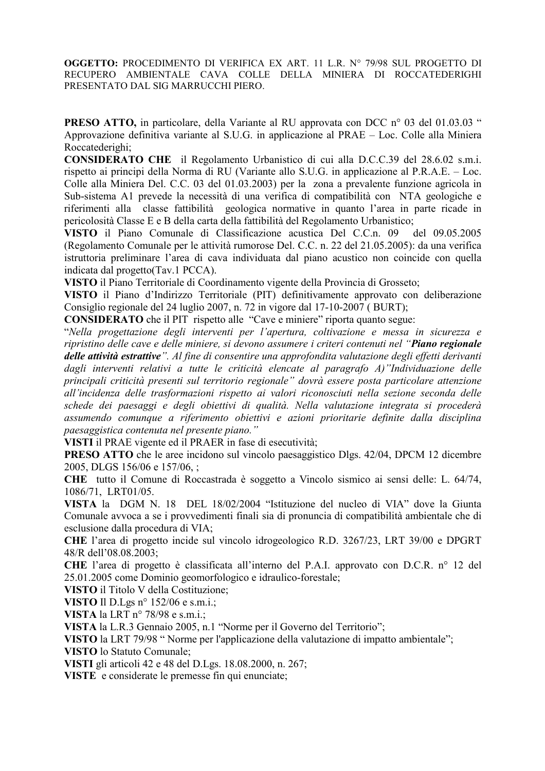**PRESO ATTO**, in particolare, della Variante al RU approvata con DCC n° 03 del 01.03.03 " Approvazione definitiva variante al S.U.G. in applicazione al PRAE – Loc. Colle alla Miniera Roccatederighi:

**CONSIDERATO CHE** il Regolamento Urbanistico di cui alla D.C.C.39 del 28.6.02 s.m.i. rispetto ai principi della Norma di RU (Variante allo S.U.G. in applicazione al P.R.A.E.  $-$  Loc. Colle alla Miniera Del. C.C. 03 del 01.03.2003) per la zona a prevalente funzione agricola in Sub-sistema A1 prevede la necessità di una verifica di compatibilità con NTA geologiche e riferimenti alla classe fattibilità geologica normative in quanto l'area in parte ricade in pericolosità Classe E e B della carta della fattibilità del Regolamento Urbanistico;

VISTO il Piano Comunale di Classificazione acustica Del C.C.n. 09 del 09.05.2005 (Regolamento Comunale per le attività rumorose Del. C.C. n. 22 del 21.05.2005): da una verifica istruttoria preliminare l'area di cava individuata dal piano acustico non coincide con quella indicata dal progetto (Tav. 1 PCCA).

VISTO il Piano Territoriale di Coordinamento vigente della Provincia di Grosseto;

VISTO il Piano d'Indirizzo Territoriale (PIT) definitivamente approvato con deliberazione Consiglio regionale del 24 luglio 2007, n. 72 in vigore dal 17-10-2007 (BURT);

**CONSIDERATO** che il PIT rispetto alle "Cave e miniere" riporta quanto segue:

"Nella progettazione degli interventi per l'apertura, coltivazione e messa in sicurezza e ripristino delle cave e delle miniere, si devono assumere i criteri contenuti nel "Piano regionale delle attività estrattive". Al fine di consentire una approfondita valutazione degli effetti derivanti dagli interventi relativi a tutte le criticità elencate al paragrafo A)"Individuazione delle principali criticità presenti sul territorio regionale" dovrà essere posta particolare attenzione all'incidenza delle trasformazioni rispetto ai valori riconosciuti nella sezione seconda delle schede dei paesaggi e degli obiettivi di qualità. Nella valutazione integrata si procederà assumendo comunque a riferimento obiettivi e azioni prioritarie definite dalla disciplina paesaggistica contenuta nel presente piano."

VISTI il PRAE vigente ed il PRAER in fase di esecutività;

**PRESO ATTO** che le aree incidono sul vincolo paesaggistico Dlgs. 42/04, DPCM 12 dicembre 2005, DLGS 156/06 e 157/06, ;

CHE tutto il Comune di Roccastrada è soggetto a Vincolo sismico ai sensi delle: L. 64/74, 1086/71, LRT01/05.

VISTA la DGM N. 18 DEL 18/02/2004 "Istituzione del nucleo di VIA" dove la Giunta Comunale avvoca a se i provvedimenti finali sia di pronuncia di compatibilità ambientale che di esclusione dalla procedura di VIA;

CHE l'area di progetto incide sul vincolo idrogeologico R.D. 3267/23, LRT 39/00 e DPGRT 48/R dell'08.08.2003;

CHE l'area di progetto è classificata all'interno del P.A.I. approvato con D.C.R. nº 12 del 25.01.2005 come Dominio geomorfologico e idraulico-forestale;

**VISTO** il Titolo V della Costituzione:

VISTO Il D.Lgs n° 152/06 e s.m.i.;

VISTA la LRT nº 78/98 e s.m.i.;

VISTA la L.R.3 Gennaio 2005, n.1 "Norme per il Governo del Territorio";

VISTO la LRT 79/98 "Norme per l'applicazione della valutazione di impatto ambientale";

**VISTO** lo Statuto Comunale:

VISTI gli articoli 42 e 48 del D.Lgs. 18.08.2000, n. 267;

VISTE e considerate le premesse fin qui enunciate;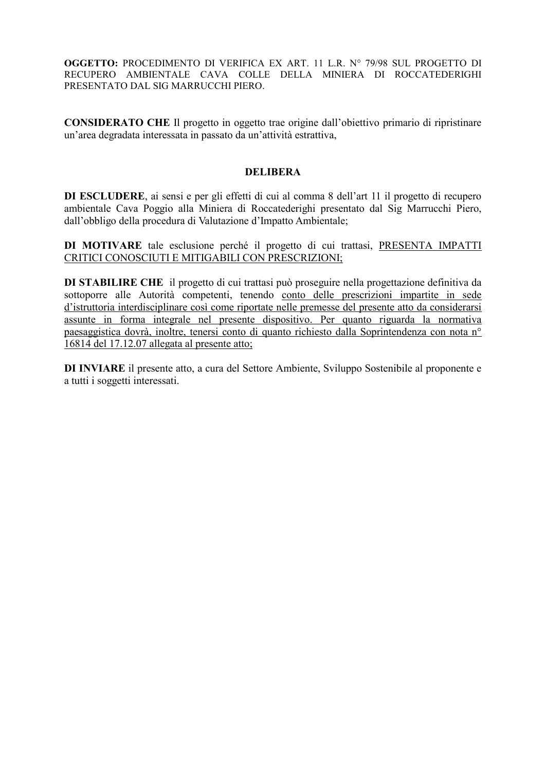**CONSIDERATO CHE** Il progetto in oggetto trae origine dall'obiettivo primario di ripristinare un'area degradata interessata in passato da un'attività estrattiva,

## **DELIBERA**

DI ESCLUDERE, ai sensi e per gli effetti di cui al comma 8 dell'art 11 il progetto di recupero ambientale Cava Poggio alla Miniera di Roccatederighi presentato dal Sig Marrucchi Piero, dall'obbligo della procedura di Valutazione d'Impatto Ambientale;

DI MOTIVARE tale esclusione perché il progetto di cui trattasi, PRESENTA IMPATTI CRITICI CONOSCIUTI E MITIGABILI CON PRESCRIZIONI;

DI STABILIRE CHE il progetto di cui trattasi può proseguire nella progettazione definitiva da sottoporre alle Autorità competenti, tenendo conto delle prescrizioni impartite in sede d'istruttoria interdisciplinare così come riportate nelle premesse del presente atto da considerarsi assunte in forma integrale nel presente dispositivo. Per quanto riguarda la normativa paesaggistica dovrà, inoltre, tenersi conto di quanto richiesto dalla Soprintendenza con nota n° 16814 del 17.12.07 allegata al presente atto;

**DI INVIARE** il presente atto, a cura del Settore Ambiente, Sviluppo Sostenibile al proponente e a tutti i soggetti interessati.